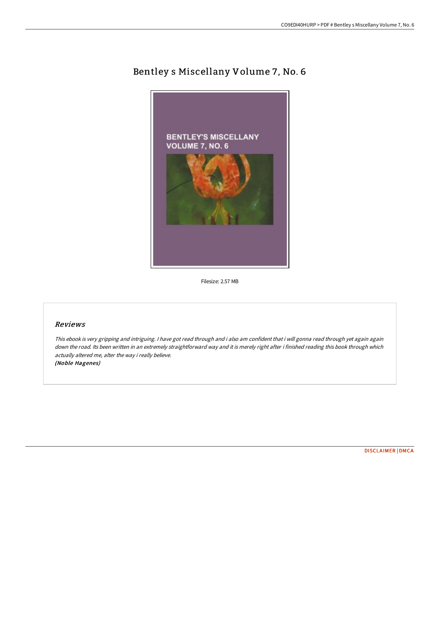# Bentley s Miscellany Volume 7, No. 6



Filesize: 2.57 MB

## Reviews

This ebook is very gripping and intriguing. <sup>I</sup> have got read through and i also am confident that i will gonna read through yet again again down the road. Its been written in an extremely straightforward way and it is merely right after i finished reading this book through which actually altered me, alter the way i really believe. (Noble Hagenes)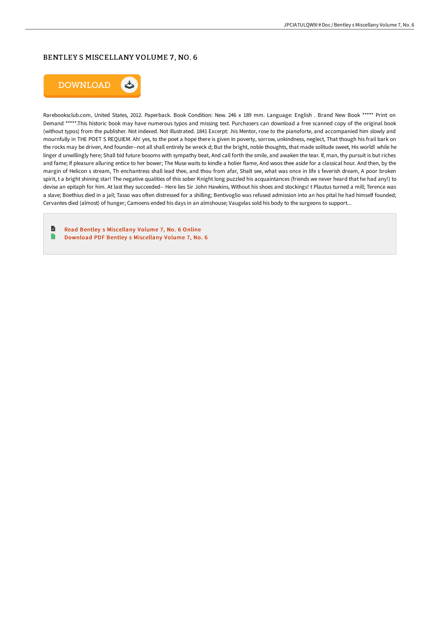## BENTLEY S MISCELLANY VOLUME 7 , NO. 6



Rarebooksclub.com, United States, 2012. Paperback. Book Condition: New. 246 x 189 mm. Language: English . Brand New Book \*\*\*\*\* Print on Demand \*\*\*\*\*.This historic book may have numerous typos and missing text. Purchasers can download a free scanned copy of the original book (without typos) from the publisher. Not indexed. Not illustrated. 1841 Excerpt: .his Mentor, rose to the pianoforte, and accompanied him slowly and mournfully in THE POET S REQUIEM. Ah! yes, to the poet a hope there is given In poverty, sorrow, unkindness, neglect, That though his frail bark on the rocks may be driven, And founder--not all shall entirely be wreck d; But the bright, noble thoughts, that made solitude sweet, His world! while he linger d unwillingly here; Shall bid future bosoms with sympathy beat, And call forth the smile, and awaken the tear. If, man, thy pursuit is but riches and fame; If pleasure alluring entice to her bower; The Muse waits to kindle a holier flame, And woos thee aside for a classical hour. And then, by the margin of Helicon s stream, Th enchantress shall lead thee, and thou from afar, Shalt see, what was once in life s feverish dream, A poor broken spirit, t a bright shining star! The negative qualities of this sober Knight long puzzled his acquaintances (friends we never heard that he had any!) to devise an epitaph for him. At last they succeeded-- Here lies Sir John Hawkins, Without his shoes and stockings! t Plautus turned a mill; Terence was a slave; Boethius died in a jail; Tasso was often distressed for a shilling; Bentivoglio was refused admission into an hos pital he had himself founded; Cervantes died (almost) of hunger; Camoens ended his days in an almshouse; Vaugelas sold his body to the surgeons to support...

 $\blacksquare$ Read Bentley s [Miscellany](http://techno-pub.tech/bentley-s-miscellany-volume-7-no-6-paperback.html) Volume 7, No. 6 Online B Download PDF Bentley s [Miscellany](http://techno-pub.tech/bentley-s-miscellany-volume-7-no-6-paperback.html) Volume 7, No. 6